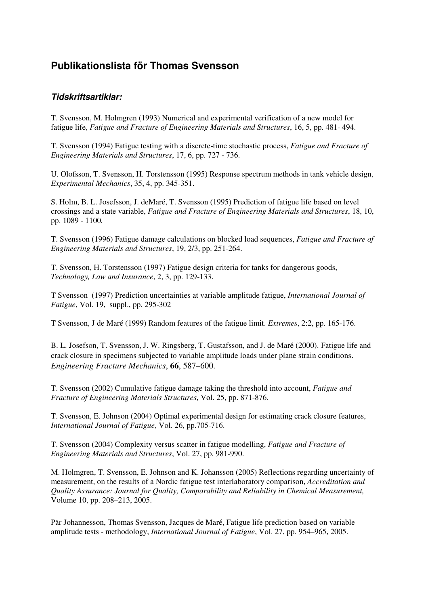## **Publikationslista för Thomas Svensson**

## **Tidskriftsartiklar:**

T. Svensson, M. Holmgren (1993) Numerical and experimental verification of a new model for fatigue life, *Fatigue and Fracture of Engineering Materials and Structures*, 16, 5, pp. 481- 494.

T. Svensson (1994) Fatigue testing with a discrete-time stochastic process, *Fatigue and Fracture of Engineering Materials and Structures*, 17, 6, pp. 727 - 736.

U. Olofsson, T. Svensson, H. Torstensson (1995) Response spectrum methods in tank vehicle design, *Experimental Mechanics*, 35, 4, pp. 345-351.

S. Holm, B. L. Josefsson, J. deMaré, T. Svensson (1995) Prediction of fatigue life based on level crossings and a state variable, *Fatigue and Fracture of Engineering Materials and Structures*, 18, 10, pp. 1089 - 1100*.*

T. Svensson (1996) Fatigue damage calculations on blocked load sequences, *Fatigue and Fracture of Engineering Materials and Structures*, 19, 2/3, pp. 251-264.

T. Svensson, H. Torstensson (1997) Fatigue design criteria for tanks for dangerous goods, *Technology, Law and Insurance*, 2, 3, pp. 129-133.

T Svensson (1997) Prediction uncertainties at variable amplitude fatigue, *International Journal of Fatigue*, Vol. 19, suppl., pp. 295-302

T Svensson, J de Maré (1999) Random features of the fatigue limit. *Extremes*, 2:2, pp. 165-176.

B. L. Josefson, T. Svensson, J. W. Ringsberg, T. Gustafsson, and J. de Maré (2000). Fatigue life and crack closure in specimens subjected to variable amplitude loads under plane strain conditions. *Engineering Fracture Mechanics*, **66**, 587–600.

T. Svensson (2002) Cumulative fatigue damage taking the threshold into account, *Fatigue and Fracture of Engineering Materials Structures*, Vol. 25, pp. 871-876.

T. Svensson, E. Johnson (2004) Optimal experimental design for estimating crack closure features, *International Journal of Fatigue*, Vol. 26, pp.705-716.

T. Svensson (2004) Complexity versus scatter in fatigue modelling, *Fatigue and Fracture of Engineering Materials and Structures*, Vol. 27, pp. 981-990.

M. Holmgren, T. Svensson, E. Johnson and K. Johansson (2005) Reflections regarding uncertainty of measurement, on the results of a Nordic fatigue test interlaboratory comparison, *Accreditation and Quality Assurance: Journal for Quality, Comparability and Reliability in Chemical Measurement,* Volume 10, pp. 208–213, 2005.

Pär Johannesson, Thomas Svensson, Jacques de Maré, Fatigue life prediction based on variable amplitude tests - methodology, *International Journal of Fatigue*, Vol. 27, pp. 954–965, 2005.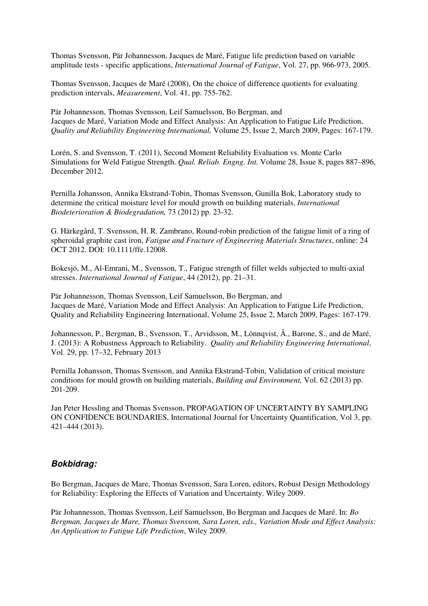Thomas Svensson, Pär Johannesson, Jacques de Maré, Fatigue life prediction based on variable amplitude tests - specific applications, *International Journal of Fatigue*, Vol. 27, pp. 966-973, 2005.

Thomas Svensson, Jacques de Maré (2008), On the choice of difference quotients for evaluating prediction intervals, *Measurement*, Vol. 41, pp. 755-762.

Pär Johannesson, Thomas Svensson, Leif Samuelsson, Bo Bergman, and Jacques de Maré, Variation Mode and Effect Analysis: An Application to Fatigue Life Prediction, *Quality and Reliability Engineering International,* Volume 25, Issue 2, March 2009, Pages: 167-179.

Lorén, S. and Svensson, T. (2011), Second Moment Reliability Evaluation vs. Monte Carlo Simulations for Weld Fatigue Strength. *Qual. Reliab. Engng. Int.* Volume 28, Issue 8, pages 887–896, December 2012.

Pernilla Johansson, Annika Ekstrand-Tobin, Thomas Svensson, Gunilla Bok, Laboratory study to determine the critical moisture level for mould growth on building materials, *International Biodeterioration & Biodegradation,* 73 (2012) pp. 23-32.

G. Härkegård, T. Svensson, H. R. Zambrano, Round-robin prediction of the fatigue limit of a ring of spheroidal graphite cast iron, *Fatigue and Fracture of Engineering Materials Structures*, online: 24 OCT 2012. DOI: 10.1111/ffe.12008.

Bokesjö, M., Al-Emrani, M., Svensson, T., Fatigue strength of fillet welds subjected to multi-axial stresses. *International Journal of Fatigue*, 44 (2012), pp. 21–31.

Pär Johannesson, Thomas Svensson, Leif Samuelsson, Bo Bergman, and Jacques de Maré, Variation Mode and Effect Analysis: An Application to Fatigue Life Prediction, Quality and Reliability Engineering International, Volume 25, Issue 2, March 2009, Pages: 167-179.

Johannesson, P., Bergman, B., Svensson, T., Arvidsson, M., Lönnqvist, Å., Barone, S., and de Maré, J. (2013): A Robustness Approach to Reliability. *Quality and Reliability Engineering International*, Vol. 29, pp. 17–32, February 2013

Pernilla Johansson, Thomas Svensson, and Annika Ekstrand-Tobin, Validation of critical moisture conditions for mould growth on building materials, *Building and Environment,* Vol. 62 (2013) pp. 201-209.

Jan Peter Hessling and Thomas Svensson, PROPAGATION OF UNCERTAINTY BY SAMPLING ON CONFIDENCE BOUNDARIES, International Journal for Uncertainty Quantification, Vol 3, pp. 421–444 (2013).

## **Bokbidrag:**

Bo Bergman, Jacques de Mare, Thomas Svensson, Sara Loren, editors, Robust Design Methodology for Reliability: Exploring the Effects of Variation and Uncertainty. Wiley 2009.

Pär Johannesson, Thomas Svensson, Leif Samuelsson, Bo Bergman and Jacques de Maré. In: *Bo Bergman, Jacques de Mare, Thomas Svensson, Sara Loren, eds., Variation Mode and Effect Analysis: An Application to Fatigue Life Prediction*, Wiley 2009.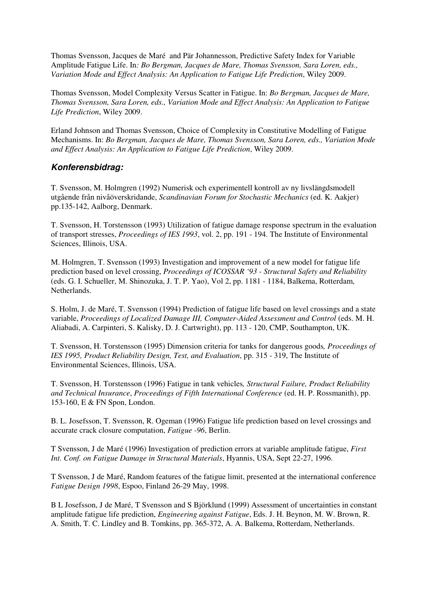Thomas Svensson, Jacques de Maré and Pär Johannesson, Predictive Safety Index for Variable Amplitude Fatigue Life. In*: Bo Bergman, Jacques de Mare, Thomas Svensson, Sara Loren, eds., Variation Mode and Effect Analysis: An Application to Fatigue Life Prediction*, Wiley 2009.

Thomas Svensson, Model Complexity Versus Scatter in Fatigue. In: *Bo Bergman, Jacques de Mare, Thomas Svensson, Sara Loren, eds., Variation Mode and Effect Analysis: An Application to Fatigue Life Prediction*, Wiley 2009.

Erland Johnson and Thomas Svensson, Choice of Complexity in Constitutive Modelling of Fatigue Mechanisms. In: *Bo Bergman, Jacques de Mare, Thomas Svensson, Sara Loren, eds., Variation Mode and Effect Analysis: An Application to Fatigue Life Prediction*, Wiley 2009.

## **Konferensbidrag:**

T. Svensson, M. Holmgren (1992) Numerisk och experimentell kontroll av ny livslängdsmodell utgående från nivåöverskridande, *Scandinavian Forum for Stochastic Mechanics* (ed. K. Aakjer) pp.135-142, Aalborg, Denmark.

T. Svensson, H. Torstensson (1993) Utilization of fatigue damage response spectrum in the evaluation of transport stresses, *Proceedings of IES 1993*, vol. 2, pp. 191 - 194. The Institute of Environmental Sciences, Illinois, USA.

M. Holmgren, T. Svensson (1993) Investigation and improvement of a new model for fatigue life prediction based on level crossing, *Proceedings of ICOSSAR '93 - Structural Safety and Reliability* (eds. G. I. Schueller, M. Shinozuka, J. T. P. Yao), Vol 2, pp. 1181 - 1184, Balkema, Rotterdam, Netherlands.

S. Holm, J. de Maré, T. Svensson (1994) Prediction of fatigue life based on level crossings and a state variable, *Proceedings of Localized Damage III, Computer-Aided Assessment and Control* (eds. M. H. Aliabadi, A. Carpinteri, S. Kalisky, D. J. Cartwright), pp. 113 - 120, CMP, Southampton, UK.

T. Svensson, H. Torstensson (1995) Dimension criteria for tanks for dangerous goods*, Proceedings of IES 1995, Product Reliability Design, Test, and Evaluation*, pp. 315 - 319, The Institute of Environmental Sciences, Illinois, USA.

T. Svensson, H. Torstensson (1996) Fatigue in tank vehicles*, Structural Failure, Product Reliability and Technical Insurance*, *Proceedings of Fifth International Conference* (ed. H. P. Rossmanith), pp. 153-160, E & FN Spon, London.

B. L. Josefsson, T. Svensson, R. Ogeman (1996) Fatigue life prediction based on level crossings and accurate crack closure computation, *Fatigue -96*, Berlin.

T Svensson, J de Maré (1996) Investigation of prediction errors at variable amplitude fatigue, *First Int. Conf. on Fatigue Damage in Structural Materials*, Hyannis, USA, Sept 22-27, 1996.

T Svensson, J de Maré, Random features of the fatigue limit, presented at the international conference *Fatigue Design 1998*, Espoo, Finland 26-29 May, 1998.

B L Josefsson, J de Maré, T Svensson and S Björklund (1999) Assessment of uncertainties in constant amplitude fatigue life prediction, *Engineering against Fatigue*, Eds. J. H. Beynon, M. W. Brown, R. A. Smith, T. C. Lindley and B. Tomkins, pp. 365-372, A. A. Balkema, Rotterdam, Netherlands.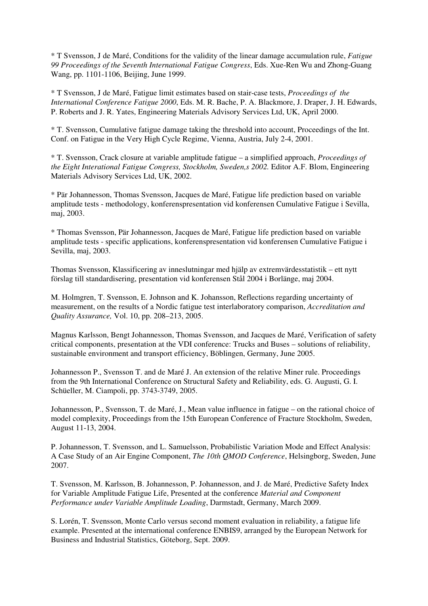\* T Svensson, J de Maré, Conditions for the validity of the linear damage accumulation rule, *Fatigue 99 Proceedings of the Seventh International Fatigue Congress*, Eds. Xue-Ren Wu and Zhong-Guang Wang, pp. 1101-1106, Beijing, June 1999.

\* T Svensson, J de Maré, Fatigue limit estimates based on stair-case tests, *Proceedings of the International Conference Fatigue 2000*, Eds. M. R. Bache, P. A. Blackmore, J. Draper, J. H. Edwards, P. Roberts and J. R. Yates, Engineering Materials Advisory Services Ltd, UK, April 2000.

\* T. Svensson, Cumulative fatigue damage taking the threshold into account, Proceedings of the Int. Conf. on Fatigue in the Very High Cycle Regime, Vienna, Austria, July 2-4, 2001.

\* T. Svensson, Crack closure at variable amplitude fatigue – a simplified approach, *Proceedings of the Eight Interational Fatigue Congress, Stockholm, Sweden,s 2002.* Editor A.F. Blom, Engineering Materials Advisory Services Ltd, UK, 2002.

\* Pär Johannesson, Thomas Svensson, Jacques de Maré, Fatigue life prediction based on variable amplitude tests - methodology, konferenspresentation vid konferensen Cumulative Fatigue i Sevilla, maj, 2003.

\* Thomas Svensson, Pär Johannesson, Jacques de Maré, Fatigue life prediction based on variable amplitude tests - specific applications, konferenspresentation vid konferensen Cumulative Fatigue i Sevilla, maj, 2003.

Thomas Svensson, Klassificering av inneslutningar med hjälp av extremvärdesstatistik – ett nytt förslag till standardisering, presentation vid konferensen Stål 2004 i Borlänge, maj 2004.

M. Holmgren, T. Svensson, E. Johnson and K. Johansson, Reflections regarding uncertainty of measurement, on the results of a Nordic fatigue test interlaboratory comparison, *Accreditation and Quality Assurance,* Vol. 10, pp. 208–213, 2005.

Magnus Karlsson, Bengt Johannesson, Thomas Svensson, and Jacques de Maré, Verification of safety critical components, presentation at the VDI conference: Trucks and Buses – solutions of reliability, sustainable environment and transport efficiency, Böblingen, Germany, June 2005.

Johannesson P., Svensson T. and de Maré J. An extension of the relative Miner rule. Proceedings from the 9th International Conference on Structural Safety and Reliability, eds. G. Augusti, G. I. Schüeller, M. Ciampoli, pp. 3743-3749, 2005.

Johannesson, P., Svensson, T. de Maré, J., Mean value influence in fatigue – on the rational choice of model complexity, Proceedings from the 15th European Conference of Fracture Stockholm, Sweden, August 11-13, 2004.

P. Johannesson, T. Svensson, and L. Samuelsson, Probabilistic Variation Mode and Effect Analysis: A Case Study of an Air Engine Component, *The 10th QMOD Conference*, Helsingborg, Sweden, June 2007.

T. Svensson, M. Karlsson, B. Johannesson, P. Johannesson, and J. de Maré, Predictive Safety Index for Variable Amplitude Fatigue Life, Presented at the conference *Material and Component Performance under Variable Amplitude Loading*, Darmstadt, Germany, March 2009.

S. Lorén, T. Svensson, Monte Carlo versus second moment evaluation in reliability, a fatigue life example. Presented at the international conference ENBIS9, arranged by the European Network for Business and Industrial Statistics, Göteborg, Sept. 2009.